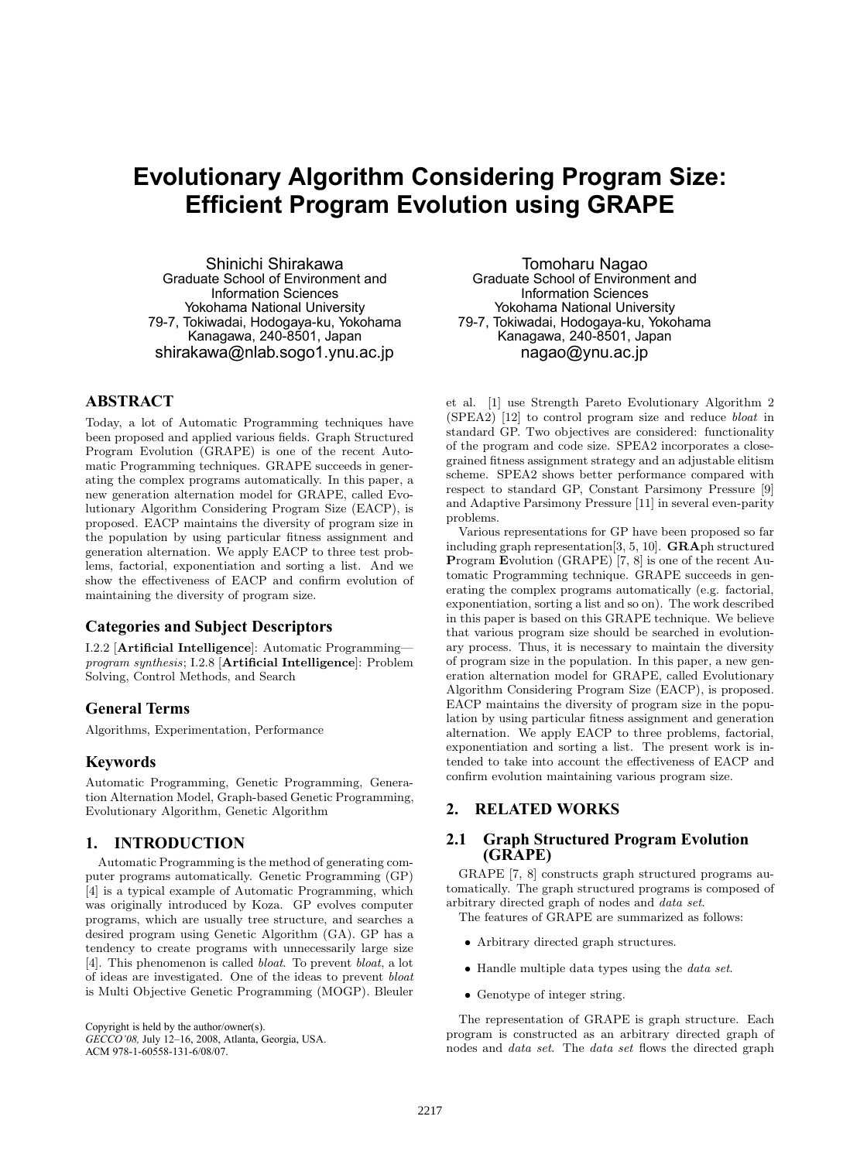# **Evolutionary Algorithm Considering Program Size: Efficient Program Evolution using GRAPE**

Shinichi Shirakawa Graduate School of Environment and Information Sciences Yokohama National University 79-7, Tokiwadai, Hodogaya-ku, Yokohama Kanagawa, 240-8501, Japan shirakawa@nlab.sogo1.ynu.ac.jp

# **ABSTRACT**

Today, a lot of Automatic Programming techniques have been proposed and applied various fields. Graph Structured Program Evolution (GRAPE) is one of the recent Automatic Programming techniques. GRAPE succeeds in generating the complex programs automatically. In this paper, a new generation alternation model for GRAPE, called Evolutionary Algorithm Considering Program Size (EACP), is proposed. EACP maintains the diversity of program size in the population by using particular fitness assignment and generation alternation. We apply EACP to three test problems, factorial, exponentiation and sorting a list. And we show the effectiveness of EACP and confirm evolution of maintaining the diversity of program size.

# **Categories and Subject Descriptors**

I.2.2 [Artificial Intelligence]: Automatic Programming program synthesis; I.2.8 [Artificial Intelligence]: Problem Solving, Control Methods, and Search

# **General Terms**

Algorithms, Experimentation, Performance

# **Keywords**

Automatic Programming, Genetic Programming, Generation Alternation Model, Graph-based Genetic Programming, Evolutionary Algorithm, Genetic Algorithm

# **1. INTRODUCTION**

Automatic Programming is the method of generating computer programs automatically. Genetic Programming (GP) [4] is a typical example of Automatic Programming, which was originally introduced by Koza. GP evolves computer programs, which are usually tree structure, and searches a desired program using Genetic Algorithm (GA). GP has a tendency to create programs with unnecessarily large size [4]. This phenomenon is called bloat. To prevent bloat, a lot of ideas are investigated. One of the ideas to prevent bloat is Multi Objective Genetic Programming (MOGP). Bleuler

Copyright is held by the author/owner(s).

*GECCO'08,* July 12–16, 2008, Atlanta, Georgia, USA. ACM 978-1-60558-131-6/08/07.

Tomoharu Nagao Graduate School of Environment and Information Sciences Yokohama National University 79-7, Tokiwadai, Hodogaya-ku, Yokohama Kanagawa, 240-8501, Japan nagao@ynu.ac.jp

et al. [1] use Strength Pareto Evolutionary Algorithm 2 (SPEA2) [12] to control program size and reduce bloat in standard GP. Two objectives are considered: functionality of the program and code size. SPEA2 incorporates a closegrained fitness assignment strategy and an adjustable elitism scheme. SPEA2 shows better performance compared with respect to standard GP, Constant Parsimony Pressure [9] and Adaptive Parsimony Pressure [11] in several even-parity problems.

Various representations for GP have been proposed so far including graph representation[3, 5, 10]. GRAph structured Program Evolution (GRAPE) [7, 8] is one of the recent Automatic Programming technique. GRAPE succeeds in generating the complex programs automatically (e.g. factorial, exponentiation, sorting a list and so on). The work described in this paper is based on this GRAPE technique. We believe that various program size should be searched in evolutionary process. Thus, it is necessary to maintain the diversity of program size in the population. In this paper, a new generation alternation model for GRAPE, called Evolutionary Algorithm Considering Program Size (EACP), is proposed. EACP maintains the diversity of program size in the population by using particular fitness assignment and generation alternation. We apply EACP to three problems, factorial, exponentiation and sorting a list. The present work is intended to take into account the effectiveness of EACP and confirm evolution maintaining various program size.

# **2. RELATED WORKS**

### **2.1 Graph Structured Program Evolution (GRAPE)**

GRAPE [7, 8] constructs graph structured programs automatically. The graph structured programs is composed of arbitrary directed graph of nodes and data set.

The features of GRAPE are summarized as follows:

- Arbitrary directed graph structures.
- Handle multiple data types using the data set.
- Genotype of integer string.

The representation of GRAPE is graph structure. Each program is constructed as an arbitrary directed graph of nodes and data set. The data set flows the directed graph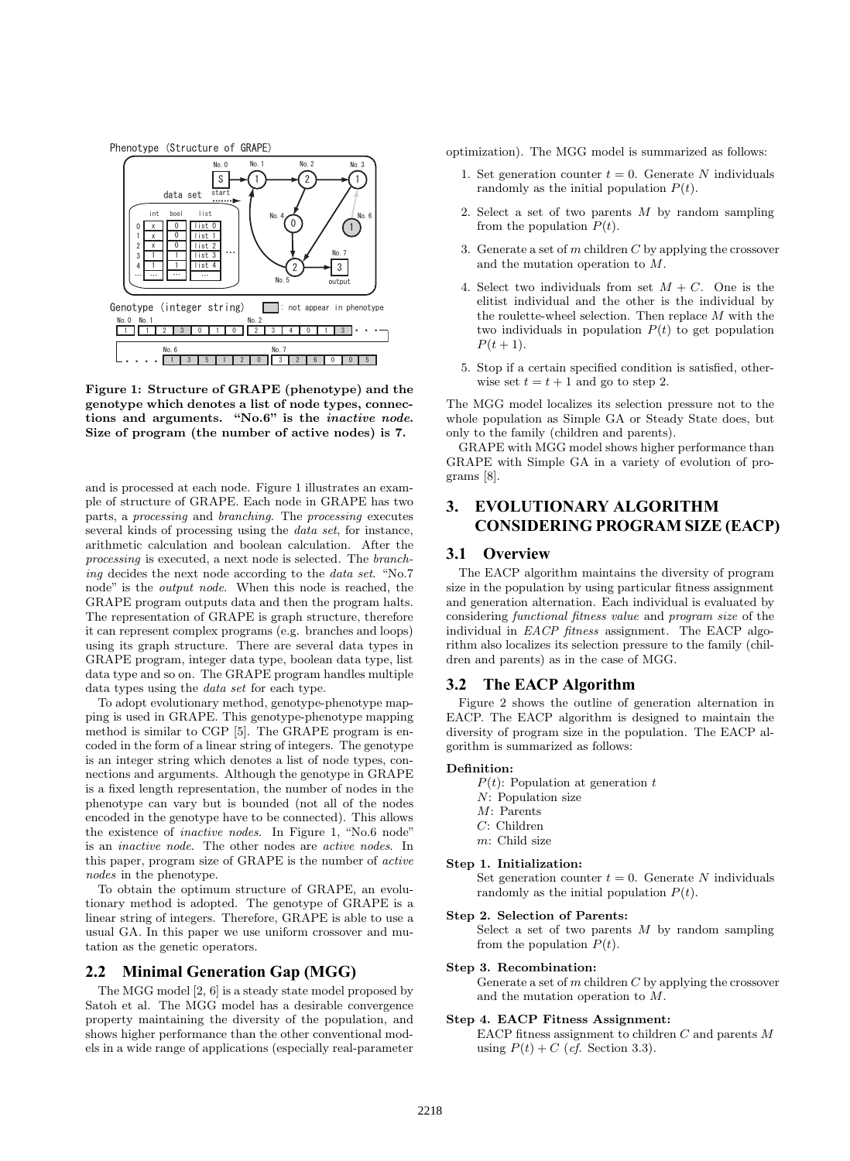

Figure 1: Structure of GRAPE (phenotype) and the genotype which denotes a list of node types, connections and arguments. "No.6" is the inactive node. Size of program (the number of active nodes) is 7.

and is processed at each node. Figure 1 illustrates an example of structure of GRAPE. Each node in GRAPE has two parts, a processing and branching. The processing executes several kinds of processing using the data set, for instance, arithmetic calculation and boolean calculation. After the processing is executed, a next node is selected. The branching decides the next node according to the data set. "No.7 node" is the output node. When this node is reached, the GRAPE program outputs data and then the program halts. The representation of GRAPE is graph structure, therefore it can represent complex programs (e.g. branches and loops) using its graph structure. There are several data types in GRAPE program, integer data type, boolean data type, list data type and so on. The GRAPE program handles multiple data types using the data set for each type.

To adopt evolutionary method, genotype-phenotype mapping is used in GRAPE. This genotype-phenotype mapping method is similar to CGP [5]. The GRAPE program is encoded in the form of a linear string of integers. The genotype is an integer string which denotes a list of node types, connections and arguments. Although the genotype in GRAPE is a fixed length representation, the number of nodes in the phenotype can vary but is bounded (not all of the nodes encoded in the genotype have to be connected). This allows the existence of inactive nodes. In Figure 1, "No.6 node" is an inactive node. The other nodes are active nodes. In this paper, program size of GRAPE is the number of active nodes in the phenotype.

To obtain the optimum structure of GRAPE, an evolutionary method is adopted. The genotype of GRAPE is a linear string of integers. Therefore, GRAPE is able to use a usual GA. In this paper we use uniform crossover and mutation as the genetic operators.

### **2.2 Minimal Generation Gap (MGG)**

The MGG model [2, 6] is a steady state model proposed by Satoh et al. The MGG model has a desirable convergence property maintaining the diversity of the population, and shows higher performance than the other conventional models in a wide range of applications (especially real-parameter optimization). The MGG model is summarized as follows:

- 1. Set generation counter  $t = 0$ . Generate N individuals randomly as the initial population  $P(t)$ .
- 2. Select a set of two parents  $M$  by random sampling from the population  $P(t)$ .
- 3. Generate a set of  $m$  children  $C$  by applying the crossover and the mutation operation to M.
- 4. Select two individuals from set  $M + C$ . One is the elitist individual and the other is the individual by the roulette-wheel selection. Then replace M with the two individuals in population  $P(t)$  to get population  $P(t + 1)$ .
- 5. Stop if a certain specified condition is satisfied, otherwise set  $t = t + 1$  and go to step 2.

The MGG model localizes its selection pressure not to the whole population as Simple GA or Steady State does, but only to the family (children and parents).

GRAPE with MGG model shows higher performance than GRAPE with Simple GA in a variety of evolution of programs [8].

# **3. EVOLUTIONARY ALGORITHM CONSIDERING PROGRAM SIZE (EACP)**

### **3.1 Overview**

The EACP algorithm maintains the diversity of program size in the population by using particular fitness assignment and generation alternation. Each individual is evaluated by considering functional fitness value and program size of the individual in EACP fitness assignment. The EACP algorithm also localizes its selection pressure to the family (children and parents) as in the case of MGG.

### **3.2 The EACP Algorithm**

Figure 2 shows the outline of generation alternation in EACP. The EACP algorithm is designed to maintain the diversity of program size in the population. The EACP algorithm is summarized as follows:

#### Definition:

- $P(t)$ : Population at generation t
- N: Population size
- M: Parents
- C: Children
- m: Child size

#### Step 1. Initialization:

Set generation counter  $t = 0$ . Generate N individuals randomly as the initial population  $P(t)$ .

#### Step 2. Selection of Parents:

Select a set of two parents  $M$  by random sampling from the population  $P(t)$ .

#### Step 3. Recombination:

Generate a set of m children  $C$  by applying the crossover and the mutation operation to M.

#### Step 4. EACP Fitness Assignment:

EACP fitness assignment to children  $C$  and parents  $M$ using  $P(t) + C$  (*cf.* Section 3.3).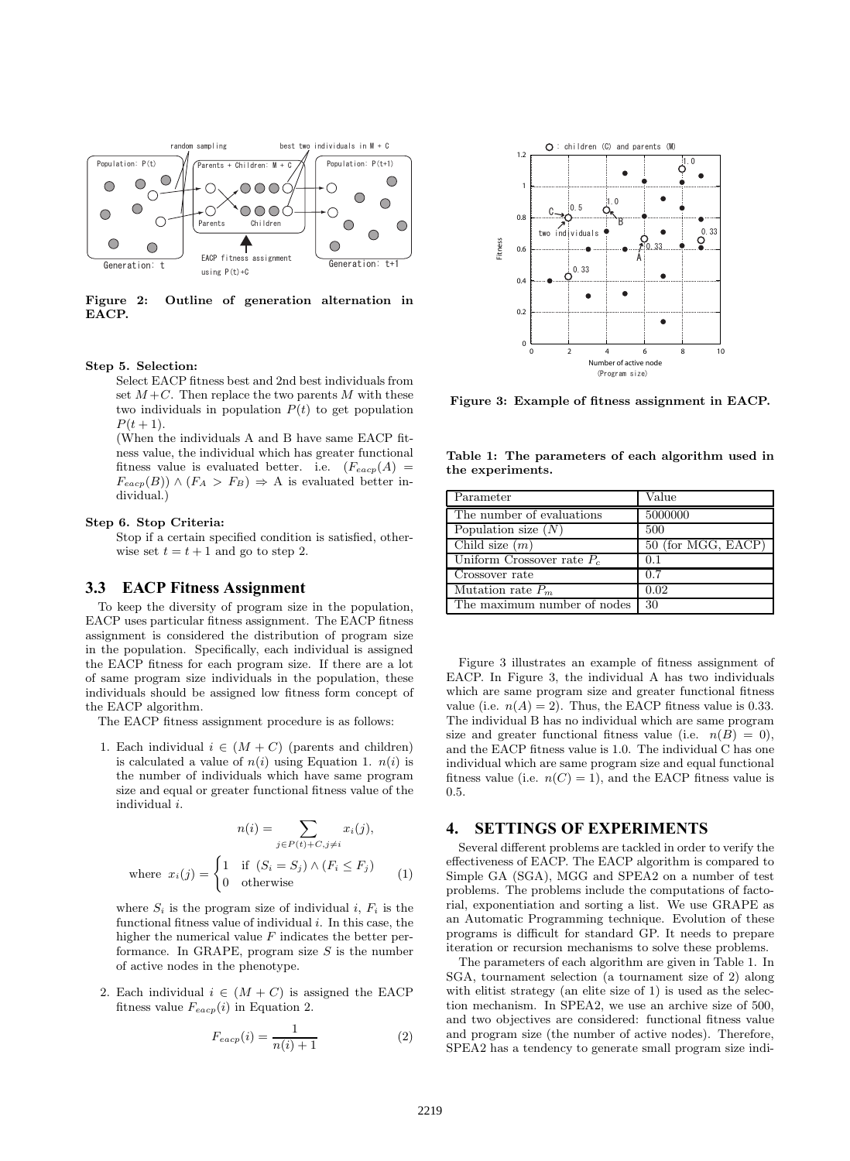

Figure 2: Outline of generation alternation in EACP.

#### Step 5. Selection:

Select EACP fitness best and 2nd best individuals from set  $M+C$ . Then replace the two parents M with these two individuals in population  $P(t)$  to get population  $P(t + 1)$ .

(When the individuals A and B have same EACP fitness value, the individual which has greater functional fitness value is evaluated better. i.e.  $(F_{eacp}(A)$  =  $F_{eacp}(B)$ )  $\wedge$   $(F_A > F_B) \Rightarrow$  A is evaluated better individual.)

### Step 6. Stop Criteria:

Stop if a certain specified condition is satisfied, otherwise set  $t = t + 1$  and go to step 2.

### **3.3 EACP Fitness Assignment**

To keep the diversity of program size in the population, EACP uses particular fitness assignment. The EACP fitness assignment is considered the distribution of program size in the population. Specifically, each individual is assigned the EACP fitness for each program size. If there are a lot of same program size individuals in the population, these individuals should be assigned low fitness form concept of the EACP algorithm.

The EACP fitness assignment procedure is as follows:

1. Each individual  $i \in (M + C)$  (parents and children) is calculated a value of  $n(i)$  using Equation 1.  $n(i)$  is the number of individuals which have same program size and equal or greater functional fitness value of the individual i.

$$
n(i) = \sum_{j \in P(t) + C, j \neq i} x_i(j),
$$
  
where  $x_i(j) = \begin{cases} 1 & \text{if } (S_i = S_j) \land (F_i \leq F_j) \\ 0 & \text{otherwise} \end{cases}$  (1)

where  $S_i$  is the program size of individual i,  $F_i$  is the functional fitness value of individual  $i$ . In this case, the higher the numerical value  $F$  indicates the better performance. In GRAPE, program size  $S$  is the number of active nodes in the phenotype.

2. Each individual  $i \in (M + C)$  is assigned the EACP fitness value  $F_{eacp}(i)$  in Equation 2.

$$
F_{eacp}(i) = \frac{1}{n(i) + 1} \tag{2}
$$



Figure 3: Example of fitness assignment in EACP.

Table 1: The parameters of each algorithm used in the experiments.

| Parameter                    | Value              |
|------------------------------|--------------------|
| The number of evaluations    | 5000000            |
| Population size $(N)$        | 500                |
| Child size $(m)$             | 50 (for MGG, EACP) |
| Uniform Crossover rate $P_c$ | 0.1                |
| Crossover rate               | 0.7                |
| Mutation rate $P_m$          | 0.02               |
| The maximum number of nodes  | 30                 |

Figure 3 illustrates an example of fitness assignment of EACP. In Figure 3, the individual A has two individuals which are same program size and greater functional fitness value (i.e.  $n(A) = 2$ ). Thus, the EACP fitness value is 0.33. The individual B has no individual which are same program size and greater functional fitness value (i.e.  $n(B) = 0$ ), and the EACP fitness value is 1.0. The individual C has one individual which are same program size and equal functional fitness value (i.e.  $n(C) = 1$ ), and the EACP fitness value is 0.5.

## **4. SETTINGS OF EXPERIMENTS**

Several different problems are tackled in order to verify the effectiveness of EACP. The EACP algorithm is compared to Simple GA (SGA), MGG and SPEA2 on a number of test problems. The problems include the computations of factorial, exponentiation and sorting a list. We use GRAPE as an Automatic Programming technique. Evolution of these programs is difficult for standard GP. It needs to prepare iteration or recursion mechanisms to solve these problems.

The parameters of each algorithm are given in Table 1. In SGA, tournament selection (a tournament size of 2) along with elitist strategy (an elite size of 1) is used as the selection mechanism. In SPEA2, we use an archive size of 500, and two objectives are considered: functional fitness value and program size (the number of active nodes). Therefore, SPEA2 has a tendency to generate small program size indi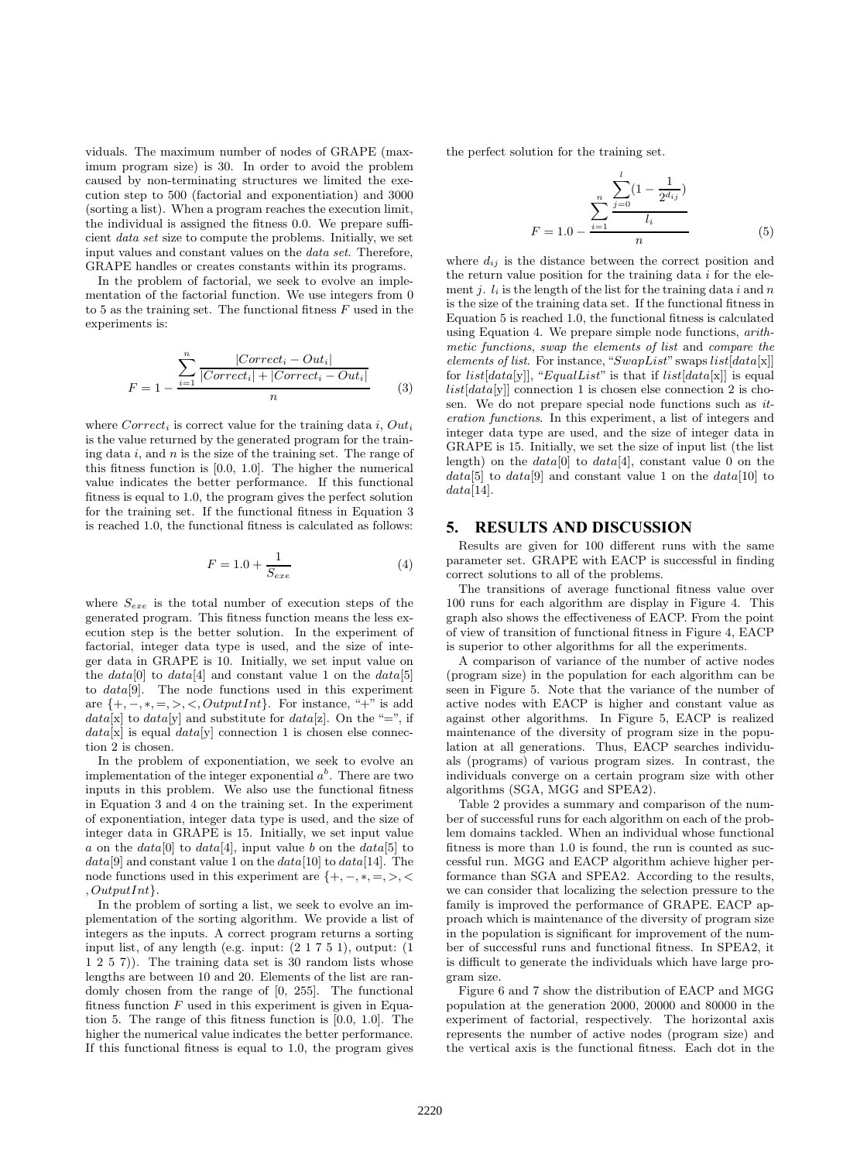viduals. The maximum number of nodes of GRAPE (maximum program size) is 30. In order to avoid the problem caused by non-terminating structures we limited the execution step to 500 (factorial and exponentiation) and 3000 (sorting a list). When a program reaches the execution limit, the individual is assigned the fitness 0.0. We prepare sufficient data set size to compute the problems. Initially, we set input values and constant values on the *data set*. Therefore, GRAPE handles or creates constants within its programs.

In the problem of factorial, we seek to evolve an implementation of the factorial function. We use integers from 0 to 5 as the training set. The functional fitness  $F$  used in the experiments is:

$$
F = 1 - \frac{\sum_{i=1}^{n} \frac{|Correct_i - Out_i|}{|Correct_i| + |Correct_i - Out_i|}}{n}
$$
 (3)

where  $Correct<sub>i</sub>$  is correct value for the training data i,  $Out<sub>i</sub>$ is the value returned by the generated program for the training data  $i$ , and  $n$  is the size of the training set. The range of this fitness function is [0.0, 1.0]. The higher the numerical value indicates the better performance. If this functional fitness is equal to 1.0, the program gives the perfect solution for the training set. If the functional fitness in Equation 3 is reached 1.0, the functional fitness is calculated as follows:

$$
F = 1.0 + \frac{1}{S_{exe}}\tag{4}
$$

where  $S_{exe}$  is the total number of execution steps of the generated program. This fitness function means the less execution step is the better solution. In the experiment of factorial, integer data type is used, and the size of integer data in GRAPE is 10. Initially, we set input value on the  $data[0]$  to  $data[4]$  and constant value 1 on the  $data[5]$ to data[9]. The node functions used in this experiment are  $\{+, -, *, =, >, <, OutputInt\}$ . For instance, "+" is add  $data[x]$  to  $data[y]$  and substitute for  $data[z]$ . On the "=", if  $data[x]$  is equal  $data[y]$  connection 1 is chosen else connection 2 is chosen.

In the problem of exponentiation, we seek to evolve an implementation of the integer exponential  $a^b$ . There are two inputs in this problem. We also use the functional fitness in Equation 3 and 4 on the training set. In the experiment of exponentiation, integer data type is used, and the size of integer data in GRAPE is 15. Initially, we set input value a on the  $data[0]$  to  $data[4]$ , input value b on the  $data[5]$  to  $data[9]$  and constant value 1 on the  $data[10]$  to  $data[14]$ . The node functions used in this experiment are  $\{+, -, *, =, >, <$  $, OutputInt$ .

In the problem of sorting a list, we seek to evolve an implementation of the sorting algorithm. We provide a list of integers as the inputs. A correct program returns a sorting input list, of any length (e.g. input: (2 1 7 5 1), output: (1 1 2 5 7)). The training data set is 30 random lists whose lengths are between 10 and 20. Elements of the list are randomly chosen from the range of [0, 255]. The functional fitness function  $F$  used in this experiment is given in Equation 5. The range of this fitness function is [0.0, 1.0]. The higher the numerical value indicates the better performance. If this functional fitness is equal to 1.0, the program gives the perfect solution for the training set.

$$
F = 1.0 - \frac{\sum_{i=1}^{n} \frac{\sum_{j=0}^{l} (1 - \frac{1}{2^{d_{ij}}})}{l_i}}{n}
$$
(5)

where  $d_{ij}$  is the distance between the correct position and the return value position for the training data  $i$  for the element *i*.  $l_i$  is the length of the list for the training data i and n is the size of the training data set. If the functional fitness in Equation 5 is reached 1.0, the functional fitness is calculated using Equation 4. We prepare simple node functions, arithmetic functions, swap the elements of list and compare the elements of list. For instance, " $SwapList$ " swaps  $list[data[x]]$ for *list*[data[y]], "EqualList" is that if  $list[data[x]]$  is equal  $list[data[v]]$  connection 1 is chosen else connection 2 is chosen. We do not prepare special node functions such as iteration functions. In this experiment, a list of integers and integer data type are used, and the size of integer data in GRAPE is 15. Initially, we set the size of input list (the list length) on the  $data[0]$  to  $data[4]$ , constant value 0 on the  $data[5]$  to  $data[9]$  and constant value 1 on the  $data[10]$  to  $data[14]$ .

### **5. RESULTS AND DISCUSSION**

Results are given for 100 different runs with the same parameter set. GRAPE with EACP is successful in finding correct solutions to all of the problems.

The transitions of average functional fitness value over 100 runs for each algorithm are display in Figure 4. This graph also shows the effectiveness of EACP. From the point of view of transition of functional fitness in Figure 4, EACP is superior to other algorithms for all the experiments.

A comparison of variance of the number of active nodes (program size) in the population for each algorithm can be seen in Figure 5. Note that the variance of the number of active nodes with EACP is higher and constant value as against other algorithms. In Figure 5, EACP is realized maintenance of the diversity of program size in the population at all generations. Thus, EACP searches individuals (programs) of various program sizes. In contrast, the individuals converge on a certain program size with other algorithms (SGA, MGG and SPEA2).

Table 2 provides a summary and comparison of the number of successful runs for each algorithm on each of the problem domains tackled. When an individual whose functional fitness is more than 1.0 is found, the run is counted as successful run. MGG and EACP algorithm achieve higher performance than SGA and SPEA2. According to the results, we can consider that localizing the selection pressure to the family is improved the performance of GRAPE. EACP approach which is maintenance of the diversity of program size in the population is significant for improvement of the number of successful runs and functional fitness. In SPEA2, it is difficult to generate the individuals which have large program size.

Figure 6 and 7 show the distribution of EACP and MGG population at the generation 2000, 20000 and 80000 in the experiment of factorial, respectively. The horizontal axis represents the number of active nodes (program size) and the vertical axis is the functional fitness. Each dot in the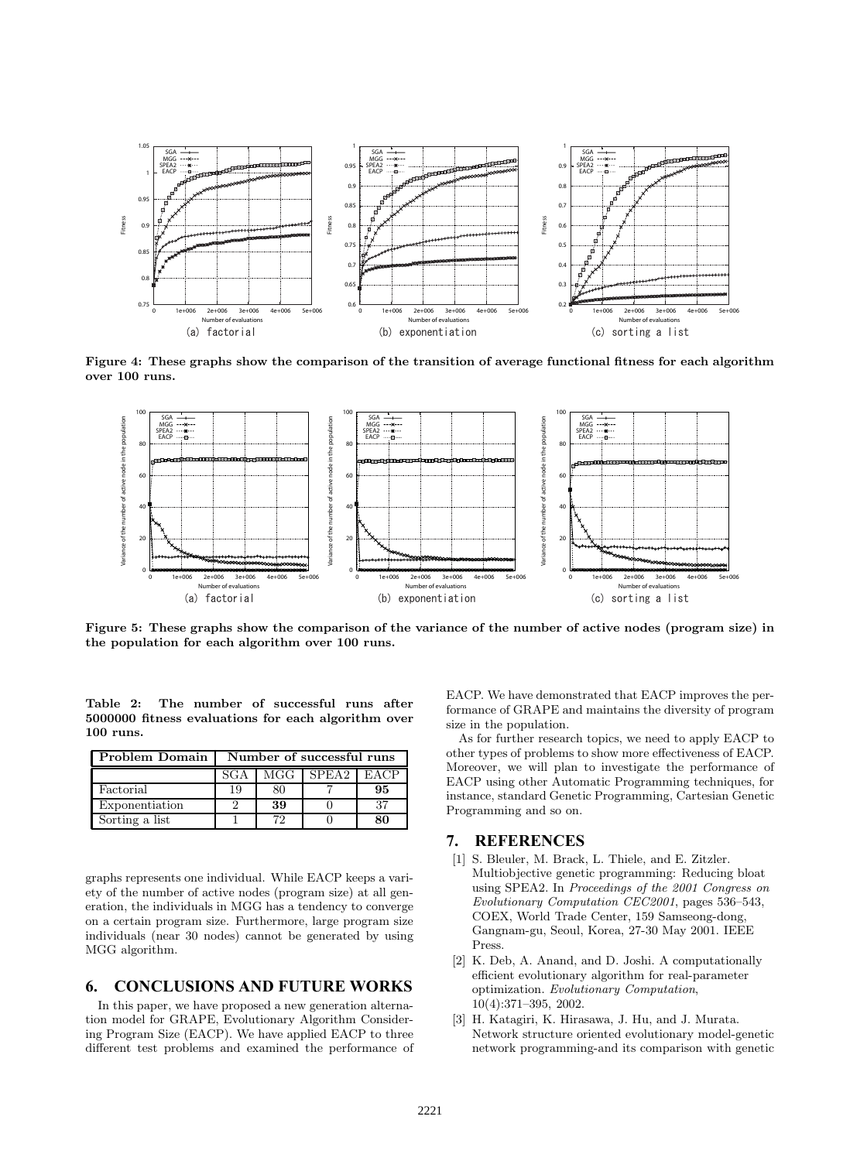

Figure 4: These graphs show the comparison of the transition of average functional fitness for each algorithm over 100 runs.



Figure 5: These graphs show the comparison of the variance of the number of active nodes (program size) in the population for each algorithm over 100 runs.

Table 2: The number of successful runs after 5000000 fitness evaluations for each algorithm over 100 runs.

| Problem Domain | Number of successful runs |    |             |      |
|----------------|---------------------------|----|-------------|------|
|                | SGA                       |    | MGG I SPEA2 | EACP |
| Factorial      | 19                        | 80 |             | 95   |
| Exponentiation |                           | 39 |             | 37   |
| Sorting a list |                           | 79 |             |      |

graphs represents one individual. While EACP keeps a variety of the number of active nodes (program size) at all generation, the individuals in MGG has a tendency to converge on a certain program size. Furthermore, large program size individuals (near 30 nodes) cannot be generated by using MGG algorithm.

### **6. CONCLUSIONS AND FUTURE WORKS**

In this paper, we have proposed a new generation alternation model for GRAPE, Evolutionary Algorithm Considering Program Size (EACP). We have applied EACP to three different test problems and examined the performance of EACP. We have demonstrated that EACP improves the performance of GRAPE and maintains the diversity of program size in the population.

As for further research topics, we need to apply EACP to other types of problems to show more effectiveness of EACP. Moreover, we will plan to investigate the performance of EACP using other Automatic Programming techniques, for instance, standard Genetic Programming, Cartesian Genetic Programming and so on.

### **7. REFERENCES**

- [1] S. Bleuler, M. Brack, L. Thiele, and E. Zitzler. Multiobjective genetic programming: Reducing bloat using SPEA2. In Proceedings of the 2001 Congress on Evolutionary Computation CEC2001, pages 536–543, COEX, World Trade Center, 159 Samseong-dong, Gangnam-gu, Seoul, Korea, 27-30 May 2001. IEEE Press.
- [2] K. Deb, A. Anand, and D. Joshi. A computationally efficient evolutionary algorithm for real-parameter optimization. Evolutionary Computation, 10(4):371–395, 2002.
- [3] H. Katagiri, K. Hirasawa, J. Hu, and J. Murata. Network structure oriented evolutionary model-genetic network programming-and its comparison with genetic